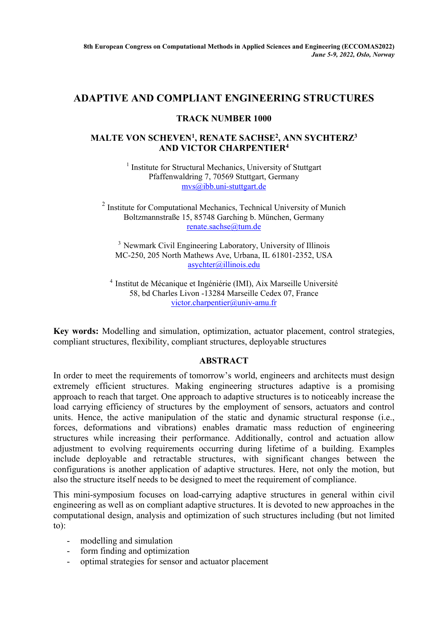## **ADAPTIVE AND COMPLIANT ENGINEERING STRUCTURES**

## **TRACK NUMBER 1000**

## **MALTE VON SCHEVEN1, RENATE SACHSE2, ANN SYCHTERZ3 AND VICTOR CHARPENTIER4**

<sup>1</sup> Institute for Structural Mechanics, University of Stuttgart Pfaffenwaldring 7, 70569 Stuttgart, Germany mvs@ibb.uni-stuttgart.de

 $2$  Institute for Computational Mechanics, Technical University of Munich Boltzmannstraße 15, 85748 Garching b. München, Germany renate.sachse@tum.de

<sup>3</sup> Newmark Civil Engineering Laboratory, University of Illinois MC-250, 205 North Mathews Ave, Urbana, IL 61801-2352, USA asychter@illinois.edu

4 Institut de Mécanique et Ingéniérie (IMI), Aix Marseille Université 58, bd Charles Livon -13284 Marseille Cedex 07, France victor.charpentier@univ-amu.fr

**Key words:** Modelling and simulation, optimization, actuator placement, control strategies, compliant structures, flexibility, compliant structures, deployable structures

## **ABSTRACT**

In order to meet the requirements of tomorrow's world, engineers and architects must design extremely efficient structures. Making engineering structures adaptive is a promising approach to reach that target. One approach to adaptive structures is to noticeably increase the load carrying efficiency of structures by the employment of sensors, actuators and control units. Hence, the active manipulation of the static and dynamic structural response (i.e., forces, deformations and vibrations) enables dramatic mass reduction of engineering structures while increasing their performance. Additionally, control and actuation allow adjustment to evolving requirements occurring during lifetime of a building. Examples include deployable and retractable structures, with significant changes between the configurations is another application of adaptive structures. Here, not only the motion, but also the structure itself needs to be designed to meet the requirement of compliance.

This mini-symposium focuses on load-carrying adaptive structures in general within civil engineering as well as on compliant adaptive structures. It is devoted to new approaches in the computational design, analysis and optimization of such structures including (but not limited to):

- modelling and simulation
- form finding and optimization
- optimal strategies for sensor and actuator placement